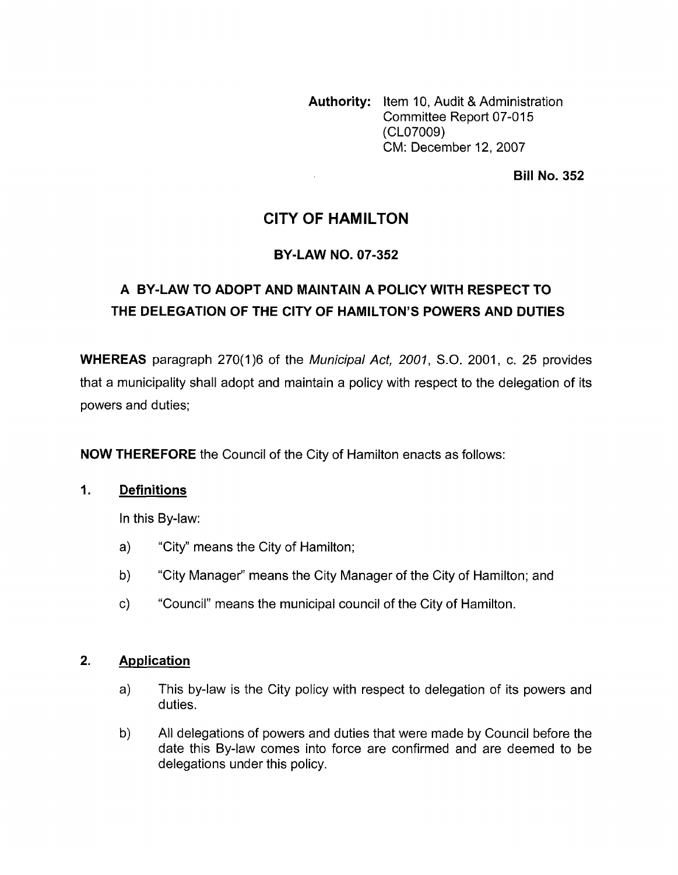**Authority:** Item 10, Audit & Administration Committee Report 07-015 (CL07009) CM: December 12.2007

**Bill No. 352** 

## **CITY OF HAMILTON**

## **BY-LAW NO. 07-352**

# **A BY-LAW TO ADOPT AND MAINTAIN A POLICY WITH RESPECT TO THE DELEGATION OF THE CITY OF HAMILTON'S POWERS AND DUTIES**

**WHEREAS** paragraph 270(1)6 of the *Municipal Act, 2001,* S.O. 2001, c. 25 provides that a municipality shall adopt and maintain a policy with respect to the delegation of its powers and duties;

**NOW THEREFORE** the Council of the City of Hamilton enacts as follows:

#### I. **Definitions**

In this By-law:

- a) "City" means the City of Hamilton;
- b) "City Manager" means the City Manager of the City of Hamilton; and
- c) "Council" means the municipal council of the City of Hamilton.

#### **2. Application**

- a) This by-law is the City policy with respect to delegation of its powers and duties.
- b) All delegations of powers and duties that were made by Council before the date this By-law comes into force are confirmed and are deemed to be delegations under this policy.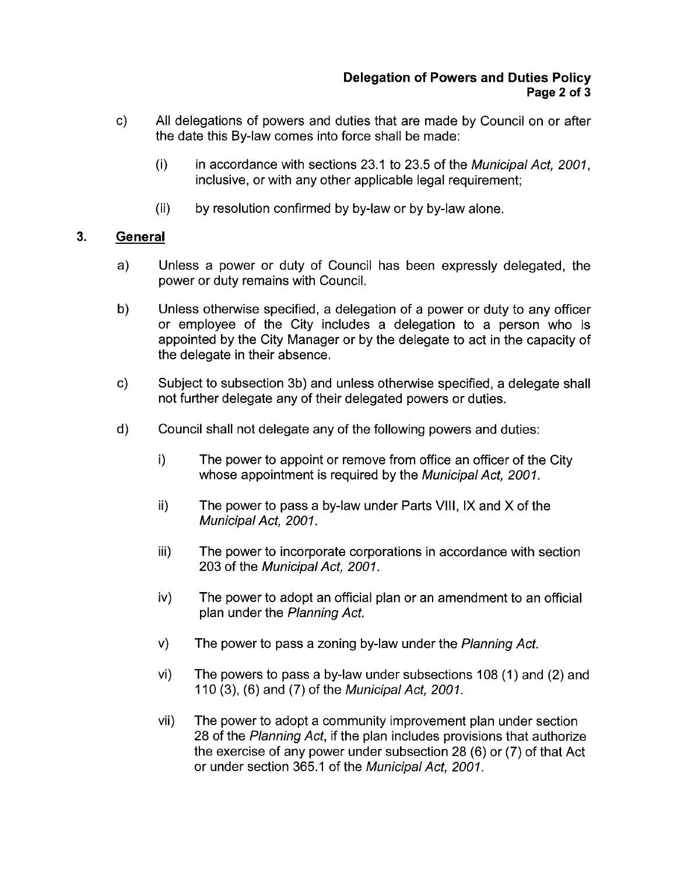- c) All delegations of powers and duties that are made by Council on or after the date this By-law comes into force shall be made:
	- (i) in accordance with sections 23.1 to 23.5 of the *Municipal Act, 2001,*  inclusive, or with any other applicable legal requirement;
	- (ii) by resolution confirmed by by-law or by by-law alone.

## **3. General**

- a) Unless a power or duty of Council has been expressly delegated, the power or duty remains with Council.
- b) Unless otherwise specified, a delegation of a power or duty to any officer or employee of the City includes a delegation to a person who is appointed by the City Manager or by the delegate to act in the capacity of the delegate in their absence.
- c) Subject to subsection 3b) and unless otherwise specified, a delegate shall not further delegate any of their delegated powers or duties.
- d) Council shall not delegate any of the following powers and duties:
	- i) The power to appoint or remove from office an officer of the City whose appointment is required by the *Municipal Act, 2001.*
	- ii) The power to pass a by-law under Parts VIII, IX and X of the *Municipal Act, 2001.*
	- iii) The power to incorporate corporations in accordance with section 203 of the *Municipal Act, 2001.*
	- iv) The power to adopt an official plan or an amendment to an official plan under the *Planning Act.*
	- v) The power to pass a zoning by-law under the *Planning Act.*
	- vi) The powers to pass a by-law under subsections 108 (1) and (2) and 11 0 (3), (6) and (7) of the *Municipal Act, 2001.*
	- vii) The power to adopt a community improvement plan under section 28 of the *Planning Act,* if the plan includes provisions that authorize the exercise of any power under subsection 28 (6) or (7) of that Act or under section 365.1 of the *Municipal Act, 2001.*